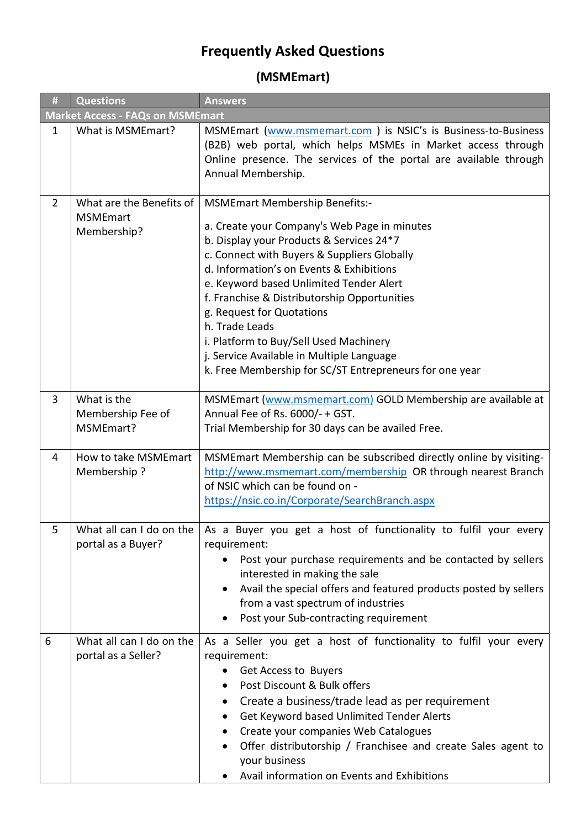## **Frequently Asked Questions**

**(MSMEmart)**

| $\pmb{\sharp}$                          | <b>Questions</b>                                           | <b>Answers</b>                                                                                                                                                                                                                                                                                                                                                                                                                                                                                                           |
|-----------------------------------------|------------------------------------------------------------|--------------------------------------------------------------------------------------------------------------------------------------------------------------------------------------------------------------------------------------------------------------------------------------------------------------------------------------------------------------------------------------------------------------------------------------------------------------------------------------------------------------------------|
| <b>Market Access - FAQs on MSMEmart</b> |                                                            |                                                                                                                                                                                                                                                                                                                                                                                                                                                                                                                          |
| $\mathbf{1}$                            | What is MSMEmart?                                          | MSMEmart (www.msmemart.com) is NSIC's is Business-to-Business<br>(B2B) web portal, which helps MSMEs in Market access through<br>Online presence. The services of the portal are available through<br>Annual Membership.                                                                                                                                                                                                                                                                                                 |
| $\overline{2}$                          | What are the Benefits of<br><b>MSMEmart</b><br>Membership? | <b>MSMEmart Membership Benefits:-</b><br>a. Create your Company's Web Page in minutes<br>b. Display your Products & Services 24*7<br>c. Connect with Buyers & Suppliers Globally<br>d. Information's on Events & Exhibitions<br>e. Keyword based Unlimited Tender Alert<br>f. Franchise & Distributorship Opportunities<br>g. Request for Quotations<br>h. Trade Leads<br>i. Platform to Buy/Sell Used Machinery<br>j. Service Available in Multiple Language<br>k. Free Membership for SC/ST Entrepreneurs for one year |
| 3                                       | What is the<br>Membership Fee of<br>MSMEmart?              | MSMEmart (www.msmemart.com) GOLD Membership are available at<br>Annual Fee of Rs. 6000/- + GST.<br>Trial Membership for 30 days can be availed Free.                                                                                                                                                                                                                                                                                                                                                                     |
| 4                                       | How to take MSMEmart<br>Membership?                        | MSMEmart Membership can be subscribed directly online by visiting-<br>http://www.msmemart.com/membership OR through nearest Branch<br>of NSIC which can be found on -<br>https://nsic.co.in/Corporate/SearchBranch.aspx                                                                                                                                                                                                                                                                                                  |
| 5                                       | portal as a Buyer?                                         | What all can I do on the $\vert$ As a Buyer you get a host of functionality to fulfil your every<br>requirement:<br>Post your purchase requirements and be contacted by sellers<br>interested in making the sale<br>Avail the special offers and featured products posted by sellers<br>from a vast spectrum of industries<br>Post your Sub-contracting requirement                                                                                                                                                      |
| 6                                       | What all can I do on the<br>portal as a Seller?            | As a Seller you get a host of functionality to fulfil your every<br>requirement:<br>Get Access to Buyers<br>Post Discount & Bulk offers<br>Create a business/trade lead as per requirement<br>Get Keyword based Unlimited Tender Alerts<br>Create your companies Web Catalogues<br>Offer distributorship / Franchisee and create Sales agent to<br>your business<br>Avail information on Events and Exhibitions                                                                                                          |